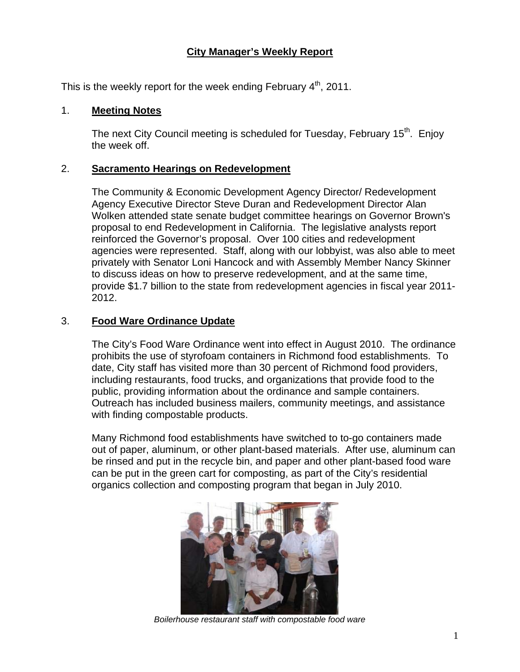# **City Manager's Weekly Report**

This is the weekly report for the week ending February  $4<sup>th</sup>$ , 2011.

### 1. **Meeting Notes**

The next City Council meeting is scheduled for Tuesday, February 15<sup>th</sup>. Enjoy the week off.

#### 2. **Sacramento Hearings on Redevelopment**

The Community & Economic Development Agency Director/ Redevelopment Agency Executive Director Steve Duran and Redevelopment Director Alan Wolken attended state senate budget committee hearings on Governor Brown's proposal to end Redevelopment in California. The legislative analysts report reinforced the Governor's proposal. Over 100 cities and redevelopment agencies were represented. Staff, along with our lobbyist, was also able to meet privately with Senator Loni Hancock and with Assembly Member Nancy Skinner to discuss ideas on how to preserve redevelopment, and at the same time, provide \$1.7 billion to the state from redevelopment agencies in fiscal year 2011- 2012.

## 3. **Food Ware Ordinance Update**

The City's Food Ware Ordinance went into effect in August 2010. The ordinance prohibits the use of styrofoam containers in Richmond food establishments. To date, City staff has visited more than 30 percent of Richmond food providers, including restaurants, food trucks, and organizations that provide food to the public, providing information about the ordinance and sample containers. Outreach has included business mailers, community meetings, and assistance with finding compostable products.

Many Richmond food establishments have switched to to-go containers made out of paper, aluminum, or other plant-based materials. After use, aluminum can be rinsed and put in the recycle bin, and paper and other plant-based food ware can be put in the green cart for composting, as part of the City's residential organics collection and composting program that began in July 2010.



*Boilerhouse restaurant staff with compostable food ware*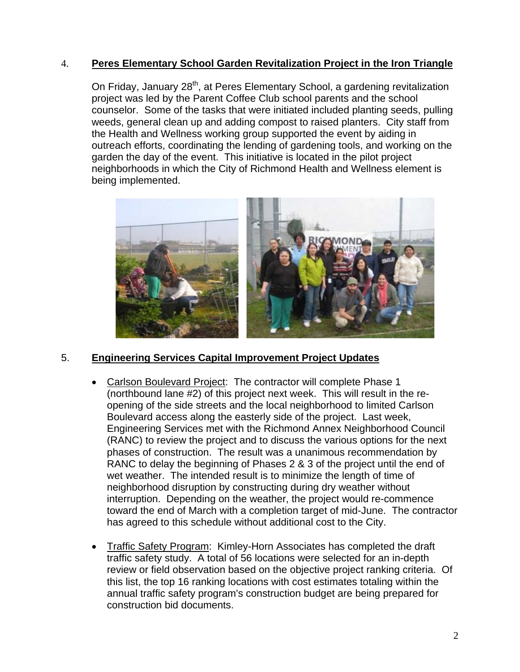# 4. **Peres Elementary School Garden Revitalization Project in the Iron Triangle**

On Friday, January 28<sup>th</sup>, at Peres Elementary School, a gardening revitalization project was led by the Parent Coffee Club school parents and the school counselor. Some of the tasks that were initiated included planting seeds, pulling weeds, general clean up and adding compost to raised planters. City staff from the Health and Wellness working group supported the event by aiding in outreach efforts, coordinating the lending of gardening tools, and working on the garden the day of the event. This initiative is located in the pilot project neighborhoods in which the City of Richmond Health and Wellness element is being implemented.



### 5. **Engineering Services Capital Improvement Project Updates**

- Carlson Boulevard Project: The contractor will complete Phase 1 (northbound lane #2) of this project next week. This will result in the reopening of the side streets and the local neighborhood to limited Carlson Boulevard access along the easterly side of the project. Last week, Engineering Services met with the Richmond Annex Neighborhood Council (RANC) to review the project and to discuss the various options for the next phases of construction. The result was a unanimous recommendation by RANC to delay the beginning of Phases 2 & 3 of the project until the end of wet weather. The intended result is to minimize the length of time of neighborhood disruption by constructing during dry weather without interruption. Depending on the weather, the project would re-commence toward the end of March with a completion target of mid-June. The contractor has agreed to this schedule without additional cost to the City.
- Traffic Safety Program: Kimley-Horn Associates has completed the draft traffic safety study. A total of 56 locations were selected for an in-depth review or field observation based on the objective project ranking criteria. Of this list, the top 16 ranking locations with cost estimates totaling within the annual traffic safety program's construction budget are being prepared for construction bid documents.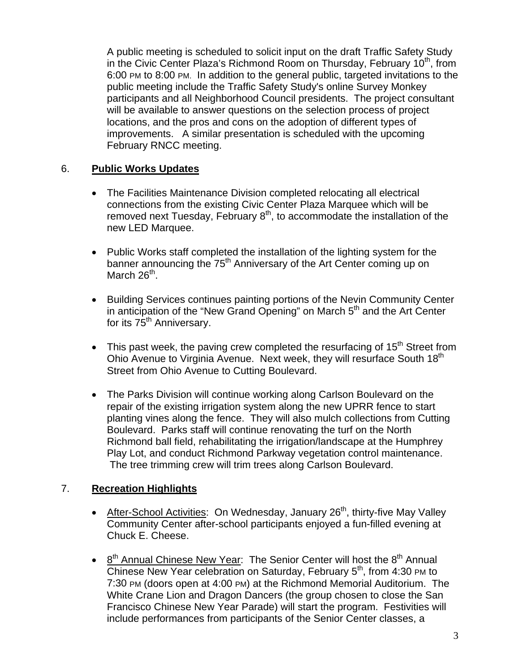A public meeting is scheduled to solicit input on the draft Traffic Safety Study in the Civic Center Plaza's Richmond Room on Thursday, February 10<sup>th</sup>, from 6:00 PM to 8:00 PM. In addition to the general public, targeted invitations to the public meeting include the Traffic Safety Study's online Survey Monkey participants and all Neighborhood Council presidents. The project consultant will be available to answer questions on the selection process of project locations, and the pros and cons on the adoption of different types of improvements. A similar presentation is scheduled with the upcoming February RNCC meeting.

# 6. **Public Works Updates**

- The Facilities Maintenance Division completed relocating all electrical connections from the existing Civic Center Plaza Marquee which will be removed next Tuesday, February  $8<sup>th</sup>$ , to accommodate the installation of the new LED Marquee.
- Public Works staff completed the installation of the lighting system for the banner announcing the 75<sup>th</sup> Anniversary of the Art Center coming up on March  $26<sup>th</sup>$ .
- Building Services continues painting portions of the Nevin Community Center in anticipation of the "New Grand Opening" on March  $5<sup>th</sup>$  and the Art Center for its 75<sup>th</sup> Anniversary.
- $\bullet$  This past week, the paving crew completed the resurfacing of 15<sup>th</sup> Street from Ohio Avenue to Virginia Avenue. Next week, they will resurface South 18<sup>th</sup> Street from Ohio Avenue to Cutting Boulevard.
- The Parks Division will continue working along Carlson Boulevard on the repair of the existing irrigation system along the new UPRR fence to start planting vines along the fence. They will also mulch collections from Cutting Boulevard. Parks staff will continue renovating the turf on the North Richmond ball field, rehabilitating the irrigation/landscape at the Humphrey Play Lot, and conduct Richmond Parkway vegetation control maintenance. The tree trimming crew will trim trees along Carlson Boulevard.

### 7. **Recreation Highlights**

- After-School Activities: On Wednesday, January  $26<sup>th</sup>$ , thirty-five May Valley Community Center after-school participants enjoyed a fun-filled evening at Chuck E. Cheese.
- $8<sup>th</sup>$  Annual Chinese New Year: The Senior Center will host the  $8<sup>th</sup>$  Annual Chinese New Year celebration on Saturday, February 5<sup>th</sup>, from 4:30 PM to 7:30 PM (doors open at 4:00 PM) at the Richmond Memorial Auditorium. The White Crane Lion and Dragon Dancers (the group chosen to close the San Francisco Chinese New Year Parade) will start the program. Festivities will include performances from participants of the Senior Center classes, a